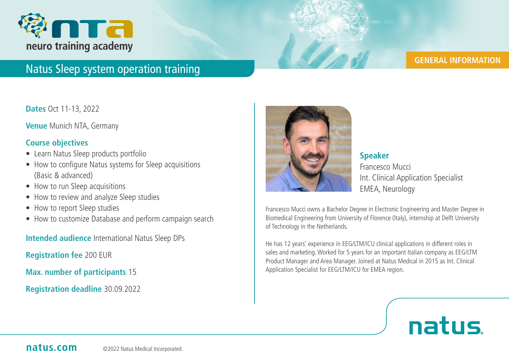

### **GENERAL INFORMATION**

## Natus Sleep system operation training

**Dates** Oct 11-13, 2022

**Venue** Munich NTA, Germany

### **Course objectives**

- Learn Natus Sleep products portfolio
- How to configure Natus systems for Sleep acquisitions (Basic & advanced)
- How to run Sleep acquisitions
- How to review and analyze Sleep studies
- How to report Sleep studies
- How to customize Database and perform campaign search

**Intended audience** International Natus Sleep DPs

**Registration fee** 200 EUR

**Max. number of participants** 15

**Registration deadline** 30.09.2022



**Speaker** Francesco Mucci Int. Clinical Application Specialist EMEA, Neurology

Francesco Mucci owns a Bachelor Degree in Electronic Engineering and Master Degree in Biomedical Engineering from University of Florence (Italy), internship at Delft University of Technology in the Netherlands.

He has 12 years' experience in EEG/LTM/ICU clinical applications in different roles in sales and marketing. Worked for 5 years for an important Italian company as EEG/LTM Product Manager and Area Manager. Joined at Natus Medical in 2015 as Int. Clinical Application Specialist for EEG/LTM/ICU for EMEA region.

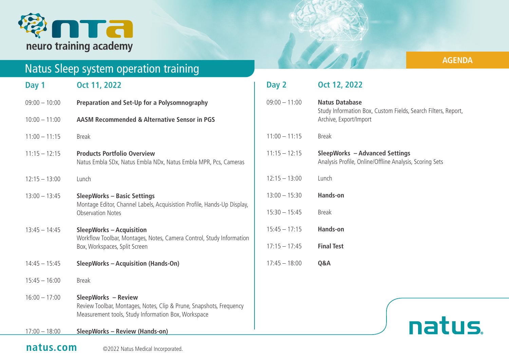

# Natus Sleep system operation training

| Day 1           | Oct 11, 2022                                                                                                                                      |
|-----------------|---------------------------------------------------------------------------------------------------------------------------------------------------|
| $09:00 - 10:00$ | Preparation and Set-Up for a Polysomnography                                                                                                      |
| $10:00 - 11:00$ | AASM Recommended & Alternative Sensor in PGS                                                                                                      |
| $11:00 - 11:15$ | <b>Break</b>                                                                                                                                      |
| $11:15 - 12:15$ | <b>Products Portfolio Overview</b><br>Natus Embla SDx, Natus Embla NDx, Natus Embla MPR, Pcs, Cameras                                             |
| $12:15 - 13:00$ | Lunch                                                                                                                                             |
| $13:00 - 13:45$ | <b>SleepWorks - Basic Settings</b><br>Montage Editor, Channel Labels, Acquisistion Profile, Hands-Up Display,<br><b>Observation Notes</b>         |
| $13:45 - 14:45$ | <b>SleepWorks - Acquisition</b><br>Workflow Toolbar, Montages, Notes, Camera Control, Study Information<br>Box, Workspaces, Split Screen          |
| $14:45 - 15:45$ | <b>SleepWorks - Acquisition (Hands-On)</b>                                                                                                        |
| $15:45 - 16:00$ | <b>Break</b>                                                                                                                                      |
| $16:00 - 17:00$ | SleepWorks - Review<br>Review Toolbar, Montages, Notes, Clip & Prune, Snapshots, Frequency<br>Measurement tools, Study Information Box, Workspace |

17:00 – 18:00 **SleepWorks – Review (Hands-on)**

## **AGENDA**

| Day 2           | Oct 12, 2022                                                                                                     |
|-----------------|------------------------------------------------------------------------------------------------------------------|
| $09:00 - 11:00$ | <b>Natus Database</b><br>Study Information Box, Custom Fields, Search Filters, Report,<br>Archive, Export/Import |
| $11:00 - 11:15$ | <b>Break</b>                                                                                                     |
| $11:15 - 12:15$ | <b>SleepWorks - Advanced Settings</b><br>Analysis Profile, Online/Offline Analysis, Scoring Sets                 |
| $12:15 - 13:00$ | Lunch                                                                                                            |
| $13:00 - 15:30$ | <b>Hands-on</b>                                                                                                  |
| $15:30 - 15:45$ | <b>Break</b>                                                                                                     |
| $15:45 - 17:15$ | Hands-on                                                                                                         |
| $17:15 - 17:45$ | <b>Final Test</b>                                                                                                |
| $17:45 - 18:00$ | Q&A                                                                                                              |

# natus.

## **natus.com** © 2022 Natus Medical Incorporated.